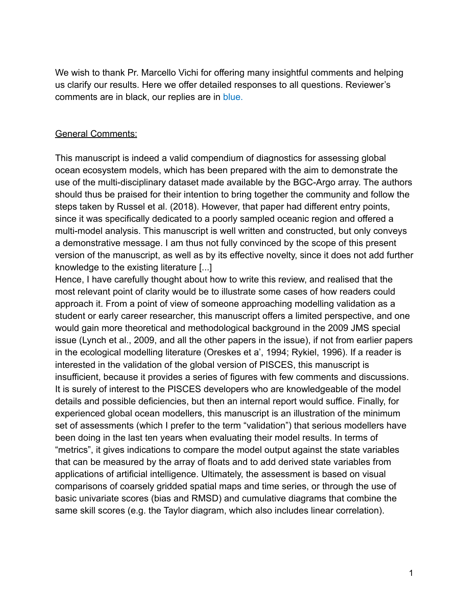We wish to thank Pr. Marcello Vichi for offering many insightful comments and helping us clarify our results. Here we offer detailed responses to all questions. Reviewer's comments are in black, our replies are in blue.

## General Comments:

This manuscript is indeed a valid compendium of diagnostics for assessing global ocean ecosystem models, which has been prepared with the aim to demonstrate the use of the multi-disciplinary dataset made available by the BGC-Argo array. The authors should thus be praised for their intention to bring together the community and follow the steps taken by Russel et al. (2018). However, that paper had different entry points, since it was specifically dedicated to a poorly sampled oceanic region and offered a multi-model analysis. This manuscript is well written and constructed, but only conveys a demonstrative message. I am thus not fully convinced by the scope of this present version of the manuscript, as well as by its effective novelty, since it does not add further knowledge to the existing literature [...]

Hence, I have carefully thought about how to write this review, and realised that the most relevant point of clarity would be to illustrate some cases of how readers could approach it. From a point of view of someone approaching modelling validation as a student or early career researcher, this manuscript offers a limited perspective, and one would gain more theoretical and methodological background in the 2009 JMS special issue (Lynch et al., 2009, and all the other papers in the issue), if not from earlier papers in the ecological modelling literature (Oreskes et a', 1994; Rykiel, 1996). If a reader is interested in the validation of the global version of PISCES, this manuscript is insufficient, because it provides a series of figures with few comments and discussions. It is surely of interest to the PISCES developers who are knowledgeable of the model details and possible deficiencies, but then an internal report would suffice. Finally, for experienced global ocean modellers, this manuscript is an illustration of the minimum set of assessments (which I prefer to the term "validation") that serious modellers have been doing in the last ten years when evaluating their model results. In terms of "metrics", it gives indications to compare the model output against the state variables that can be measured by the array of floats and to add derived state variables from applications of artificial intelligence. Ultimately, the assessment is based on visual comparisons of coarsely gridded spatial maps and time series, or through the use of basic univariate scores (bias and RMSD) and cumulative diagrams that combine the same skill scores (e.g. the Taylor diagram, which also includes linear correlation).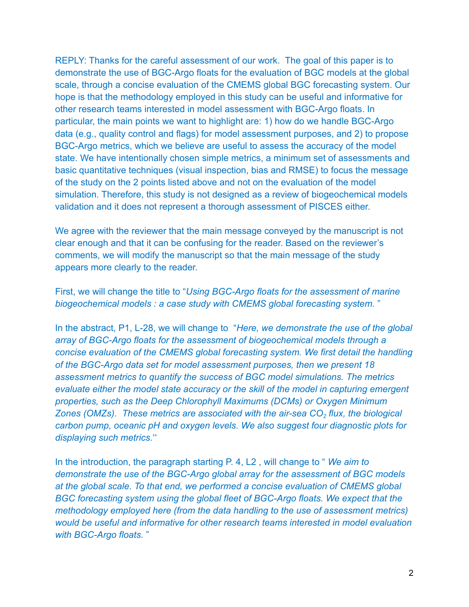REPLY: Thanks for the careful assessment of our work. The goal of this paper is to demonstrate the use of BGC-Argo floats for the evaluation of BGC models at the global scale, through a concise evaluation of the CMEMS global BGC forecasting system. Our hope is that the methodology employed in this study can be useful and informative for other research teams interested in model assessment with BGC-Argo floats. In particular, the main points we want to highlight are: 1) how do we handle BGC-Argo data (e.g., quality control and flags) for model assessment purposes, and 2) to propose BGC-Argo metrics, which we believe are useful to assess the accuracy of the model state. We have intentionally chosen simple metrics, a minimum set of assessments and basic quantitative techniques (visual inspection, bias and RMSE) to focus the message of the study on the 2 points listed above and not on the evaluation of the model simulation. Therefore, this study is not designed as a review of biogeochemical models validation and it does not represent a thorough assessment of PISCES either.

We agree with the reviewer that the main message conveyed by the manuscript is not clear enough and that it can be confusing for the reader. Based on the reviewer's comments, we will modify the manuscript so that the main message of the study appears more clearly to the reader.

First, we will change the title to "*Using BGC-Argo floats for the assessment of marine biogeochemical models : a case study with CMEMS global forecasting system.* "

In the abstract, P1, L-28, we will change to "*Here, we demonstrate the use of the global array of BGC-Argo floats for the assessment of biogeochemical models through a concise evaluation of the CMEMS global forecasting system. We first detail the handling of the BGC-Argo data set for model assessment purposes, then we present 18 assessment metrics to quantify the success of BGC model simulations. The metrics evaluate either the model state accuracy or the skill of the model in capturing emergent properties, such as the Deep Chlorophyll Maximums (DCMs) or Oxygen Minimum Zones (OMZs). These metrics are associated with the air-sea CO<sup>2</sup> flux, the biological carbon pump, oceanic pH and oxygen levels. We also suggest four diagnostic plots for displaying such metrics.*"

In the introduction, the paragraph starting P. 4, L2 , will change to " *We aim to demonstrate the use of the BGC-Argo global array for the assessment of BGC models at the global scale. To that end, we performed a concise evaluation of CMEMS global BGC forecasting system using the global fleet of BGC-Argo floats. We expect that the methodology employed here (from the data handling to the use of assessment metrics) would be useful and informative for other research teams interested in model evaluation with BGC-Argo floats.* "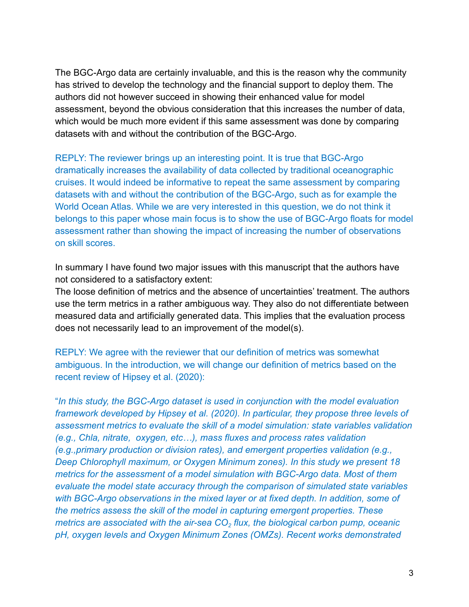The BGC-Argo data are certainly invaluable, and this is the reason why the community has strived to develop the technology and the financial support to deploy them. The authors did not however succeed in showing their enhanced value for model assessment, beyond the obvious consideration that this increases the number of data, which would be much more evident if this same assessment was done by comparing datasets with and without the contribution of the BGC-Argo.

REPLY: The reviewer brings up an interesting point. It is true that BGC-Argo dramatically increases the availability of data collected by traditional oceanographic cruises. It would indeed be informative to repeat the same assessment by comparing datasets with and without the contribution of the BGC-Argo, such as for example the World Ocean Atlas. While we are very interested in this question, we do not think it belongs to this paper whose main focus is to show the use of BGC-Argo floats for model assessment rather than showing the impact of increasing the number of observations on skill scores.

In summary I have found two major issues with this manuscript that the authors have not considered to a satisfactory extent:

The loose definition of metrics and the absence of uncertainties' treatment. The authors use the term metrics in a rather ambiguous way. They also do not differentiate between measured data and artificially generated data. This implies that the evaluation process does not necessarily lead to an improvement of the model(s).

REPLY: We agree with the reviewer that our definition of metrics was somewhat ambiguous. In the introduction, we will change our definition of metrics based on the recent review of Hipsey et al. [\(2020\)](https://www.zotero.org/google-docs/?SCeuhG):

"*In this study, the BGC-Argo dataset is used in conjunction with the model evaluation framework developed by Hipsey et al. (2020). In particular, they propose three levels of assessment metrics to evaluate the skill of a model simulation: state variables validation (e.g., Chla, nitrate, oxygen, etc…), mass fluxes and process rates validation (e.g.,primary production or division rates), and emergent properties validation (e.g., Deep Chlorophyll maximum, or Oxygen Minimum zones). In this study we present 18 metrics for the assessment of a model simulation with BGC-Argo data. Most of them evaluate the model state accuracy through the comparison of simulated state variables with BGC-Argo observations in the mixed layer or at fixed depth. In addition, some of the metrics assess the skill of the model in capturing emergent properties. These metrics are associated with the air-sea CO<sup>2</sup> flux, the biological carbon pump, oceanic pH, oxygen levels and Oxygen Minimum Zones (OMZs). Recent works demonstrated*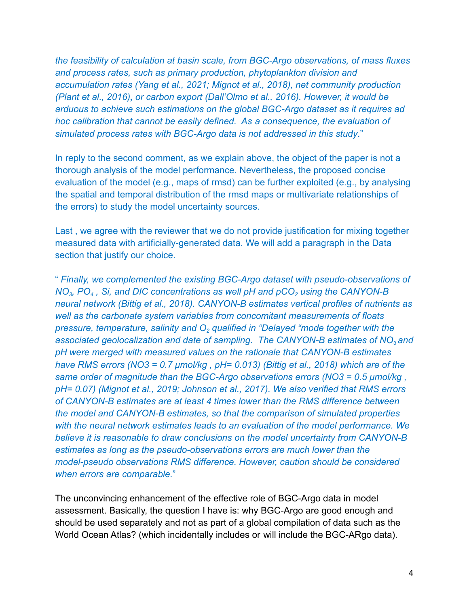*the feasibility of calculation at basin scale, from BGC-Argo observations, of mass fluxes and process rates, such as primary production, phytoplankton division and accumulation rates [\(Yang et al., 2021; Mignot et al.,](https://www.zotero.org/google-docs/?JlMsKB) 2018), net community production [\(Plant et al., 2016\)](https://www.zotero.org/google-docs/?Z1csey), or carbon export (Dall'Olmo [et al., 2016\)](https://www.zotero.org/google-docs/?kgGx63). However, it would be arduous to achieve such estimations on the global BGC-Argo dataset as it requires ad hoc calibration that cannot be easily defined. As a consequence, the evaluation of simulated process rates with BGC-Argo data is not addressed in this study*."

In reply to the second comment, as we explain above, the object of the paper is not a thorough analysis of the model performance. Nevertheless, the proposed concise evaluation of the model (e.g., maps of rmsd) can be further exploited (e.g., by analysing the spatial and temporal distribution of the rmsd maps or multivariate relationships of the errors) to study the model uncertainty sources.

Last , we agree with the reviewer that we do not provide justification for mixing together measured data with artificially-generated data. We will add a paragraph in the Data section that justify our choice.

" *Finally, we complemented the existing BGC-Argo dataset with pseudo-observations of NO<sup>3</sup> , PO<sup>4</sup> , Si, and DIC concentrations as well pH and pCO<sup>2</sup> using the CANYON-B neural network (Bittig et al., 2018). CANYON-B estimates vertical profiles of nutrients as well as the carbonate system variables from concomitant measurements of floats pressure, temperature, salinity and O<sup>2</sup> qualified in "Delayed "mode together with the associated geolocalization and date of sampling. The CANYON-B estimates of NO<sup>3</sup> and pH were merged with measured values on the rationale that CANYON-B estimates have RMS errors (NO3 = 0.7 μmol/kg , pH= 0.013) (Bittig [et al., 2018\)](https://www.zotero.org/google-docs/?HUqfCH) which are of the same order of magnitude than the BGC-Argo observations errors (NO3 = 0.5 μmol/kg , pH= 0.07) [\(Mignot et al., 2019; Johnson et al., 2017\).](https://www.zotero.org/google-docs/?nhh8lx) We also verified that RMS errors of CANYON-B estimates are at least 4 times lower than the RMS difference between the model and CANYON-B estimates, so that the comparison of simulated properties with the neural network estimates leads to an evaluation of the model performance. We believe it is reasonable to draw conclusions on the model uncertainty from CANYON-B estimates as long as the pseudo-observations errors are much lower than the model-pseudo observations RMS difference. However, caution should be considered when errors are comparable.*"

The unconvincing enhancement of the effective role of BGC-Argo data in model assessment. Basically, the question I have is: why BGC-Argo are good enough and should be used separately and not as part of a global compilation of data such as the World Ocean Atlas? (which incidentally includes or will include the BGC-ARgo data).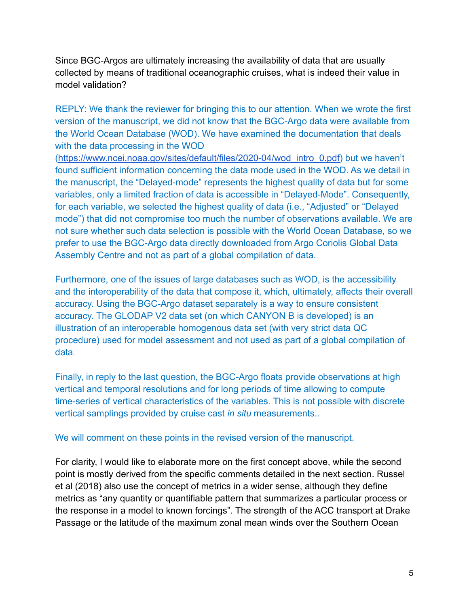Since BGC-Argos are ultimately increasing the availability of data that are usually collected by means of traditional oceanographic cruises, what is indeed their value in model validation?

REPLY: We thank the reviewer for bringing this to our attention. When we wrote the first version of the manuscript, we did not know that the BGC-Argo data were available from the World Ocean Database (WOD). We have examined the documentation that deals with the data processing in the WOD

([https://www.ncei.noaa.gov/sites/default/files/2020-04/wod\\_intro\\_0.pdf\)](https://www.ncei.noaa.gov/sites/default/files/2020-04/wod_intro_0.pdf) but we haven't found sufficient information concerning the data mode used in the WOD. As we detail in the manuscript, the "Delayed-mode" represents the highest quality of data but for some variables, only a limited fraction of data is accessible in "Delayed-Mode". Consequently, for each variable, we selected the highest quality of data (i.e., "Adjusted" or "Delayed mode") that did not compromise too much the number of observations available. We are not sure whether such data selection is possible with the World Ocean Database, so we prefer to use the BGC-Argo data directly downloaded from Argo Coriolis Global Data Assembly Centre and not as part of a global compilation of data.

Furthermore, one of the issues of large databases such as WOD, is the accessibility and the interoperability of the data that compose it, which, ultimately, affects their overall accuracy. Using the BGC-Argo dataset separately is a way to ensure consistent accuracy. The GLODAP V2 data set (on which CANYON B is developed) is an illustration of an interoperable homogenous data set (with very strict data QC procedure) used for model assessment and not used as part of a global compilation of data.

Finally, in reply to the last question, the BGC-Argo floats provide observations at high vertical and temporal resolutions and for long periods of time allowing to compute time-series of vertical characteristics of the variables. This is not possible with discrete vertical samplings provided by cruise cast *in situ* measurements..

We will comment on these points in the revised version of the manuscript.

For clarity, I would like to elaborate more on the first concept above, while the second point is mostly derived from the specific comments detailed in the next section. Russel et al (2018) also use the concept of metrics in a wider sense, although they define metrics as "any quantity or quantifiable pattern that summarizes a particular process or the response in a model to known forcings". The strength of the ACC transport at Drake Passage or the latitude of the maximum zonal mean winds over the Southern Ocean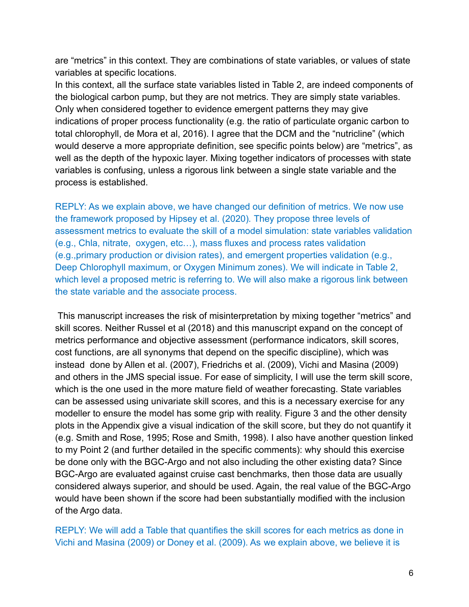are "metrics" in this context. They are combinations of state variables, or values of state variables at specific locations.

In this context, all the surface state variables listed in Table 2, are indeed components of the biological carbon pump, but they are not metrics. They are simply state variables. Only when considered together to evidence emergent patterns they may give indications of proper process functionality (e.g. the ratio of particulate organic carbon to total chlorophyll, de Mora et al, 2016). I agree that the DCM and the "nutricline" (which would deserve a more appropriate definition, see specific points below) are "metrics", as well as the depth of the hypoxic layer. Mixing together indicators of processes with state variables is confusing, unless a rigorous link between a single state variable and the process is established.

REPLY: As we explain above, we have changed our definition of metrics. We now use the framework proposed by Hipsey et al. (2020)*.* They propose three levels of assessment metrics to evaluate the skill of a model simulation: state variables validation (e.g., Chla, nitrate, oxygen, etc…), mass fluxes and process rates validation (e.g.,primary production or division rates), and emergent properties validation (e.g., Deep Chlorophyll maximum, or Oxygen Minimum zones). We will indicate in Table 2, which level a proposed metric is referring to. We will also make a rigorous link between the state variable and the associate process.

This manuscript increases the risk of misinterpretation by mixing together "metrics" and skill scores. Neither Russel et al (2018) and this manuscript expand on the concept of metrics performance and objective assessment (performance indicators, skill scores, cost functions, are all synonyms that depend on the specific discipline), which was instead done by Allen et al. (2007), Friedrichs et al. (2009), Vichi and Masina (2009) and others in the JMS special issue. For ease of simplicity, I will use the term skill score, which is the one used in the more mature field of weather forecasting. State variables can be assessed using univariate skill scores, and this is a necessary exercise for any modeller to ensure the model has some grip with reality. Figure 3 and the other density plots in the Appendix give a visual indication of the skill score, but they do not quantify it (e.g. Smith and Rose, 1995; Rose and Smith, 1998). I also have another question linked to my Point 2 (and further detailed in the specific comments): why should this exercise be done only with the BGC-Argo and not also including the other existing data? Since BGC-Argo are evaluated against cruise cast benchmarks, then those data are usually considered always superior, and should be used. Again, the real value of the BGC-Argo would have been shown if the score had been substantially modified with the inclusion of the Argo data.

REPLY: We will add a Table that quantifies the skill scores for each metrics as done in Vichi and Masina [\(2009\)](https://www.zotero.org/google-docs/?clugqp) or Doney et al. [\(2009\).](https://www.zotero.org/google-docs/?J5p0QE) As we explain above, we believe it is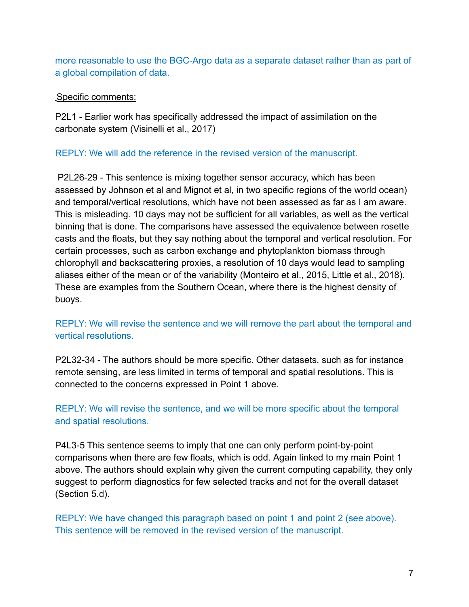more reasonable to use the BGC-Argo data as a separate dataset rather than as part of a global compilation of data.

# Specific comments:

P2L1 - Earlier work has specifically addressed the impact of assimilation on the carbonate system (Visinelli et al., 2017)

## REPLY: We will add the reference in the revised version of the manuscript.

P2L26-29 - This sentence is mixing together sensor accuracy, which has been assessed by Johnson et al and Mignot et al, in two specific regions of the world ocean) and temporal/vertical resolutions, which have not been assessed as far as I am aware. This is misleading. 10 days may not be sufficient for all variables, as well as the vertical binning that is done. The comparisons have assessed the equivalence between rosette casts and the floats, but they say nothing about the temporal and vertical resolution. For certain processes, such as carbon exchange and phytoplankton biomass through chlorophyll and backscattering proxies, a resolution of 10 days would lead to sampling aliases either of the mean or of the variability (Monteiro et al., 2015, Little et al., 2018). These are examples from the Southern Ocean, where there is the highest density of buoys.

# REPLY: We will revise the sentence and we will remove the part about the temporal and vertical resolutions.

P2L32-34 - The authors should be more specific. Other datasets, such as for instance remote sensing, are less limited in terms of temporal and spatial resolutions. This is connected to the concerns expressed in Point 1 above.

REPLY: We will revise the sentence, and we will be more specific about the temporal and spatial resolutions.

P4L3-5 This sentence seems to imply that one can only perform point-by-point comparisons when there are few floats, which is odd. Again linked to my main Point 1 above. The authors should explain why given the current computing capability, they only suggest to perform diagnostics for few selected tracks and not for the overall dataset (Section 5.d).

REPLY: We have changed this paragraph based on point 1 and point 2 (see above). This sentence will be removed in the revised version of the manuscript.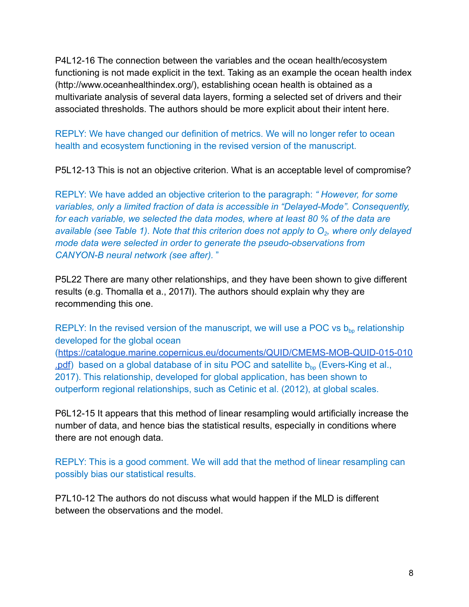P4L12-16 The connection between the variables and the ocean health/ecosystem functioning is not made explicit in the text. Taking as an example the ocean health index (http://www.oceanhealthindex.org/), establishing ocean health is obtained as a multivariate analysis of several data layers, forming a selected set of drivers and their associated thresholds. The authors should be more explicit about their intent here.

REPLY: We have changed our definition of metrics. We will no longer refer to ocean health and ecosystem functioning in the revised version of the manuscript.

P5L12-13 This is not an objective criterion. What is an acceptable level of compromise?

REPLY: We have added an objective criterion to the paragraph: *" However, for some variables, only a limited fraction of data is accessible in "Delayed-Mode". Consequently, for each variable, we selected the data modes, where at least 80 % of the data are available (see Table 1)*. *Note that this criterion does not apply to O<sup>2</sup> , where only delayed mode data were selected in order to generate the pseudo-observations from CANYON-B neural network (see after).* "

P5L22 There are many other relationships, and they have been shown to give different results (e.g. Thomalla et a., 2017l). The authors should explain why they are recommending this one.

REPLY: In the revised version of the manuscript, we will use a POC vs  $b_{bp}$  relationship developed for the global ocean ([https://catalogue.marine.copernicus.eu/documents/QUID/CMEMS-MOB-QUID-015-010](https://catalogue.marine.copernicus.eu/documents/QUID/CMEMS-MOB-QUID-015-010.pdf) . $pdf$ ) based on a global database of in situ POC and satellite  $b_{bp}$  [\(Evers-King et al.,](https://www.zotero.org/google-docs/?qFgr6s) [2017\).](https://www.zotero.org/google-docs/?qFgr6s) This relationship, developed for global application, has been shown to

outperform regional relationships, such as Cetinic et al. [\(2012\)](https://www.zotero.org/google-docs/?dxHfCb), at global scales.

P6L12-15 It appears that this method of linear resampling would artificially increase the number of data, and hence bias the statistical results, especially in conditions where there are not enough data.

REPLY: This is a good comment. We will add that the method of linear resampling can possibly bias our statistical results.

P7L10-12 The authors do not discuss what would happen if the MLD is different between the observations and the model.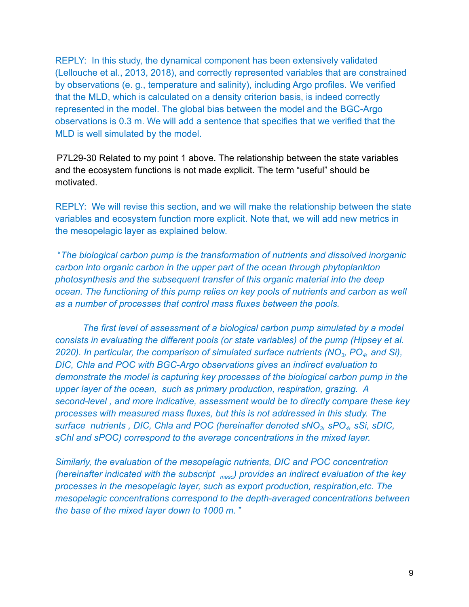REPLY: In this study, the dynamical component has been extensively validated [\(Lellouche et al., 2013, 2018\)](https://www.zotero.org/google-docs/?wtY1Rc), and correctly represented variables that are constrained by observations (e. g., temperature and salinity), including Argo profiles. We verified that the MLD, which is calculated on a density criterion basis, is indeed correctly represented in the model. The global bias between the model and the BGC-Argo observations is 0.3 m. We will add a sentence that specifies that we verified that the MLD is well simulated by the model.

P7L29-30 Related to my point 1 above. The relationship between the state variables and the ecosystem functions is not made explicit. The term "useful" should be motivated.

REPLY: We will revise this section, and we will make the relationship between the state variables and ecosystem function more explicit. Note that, we will add new metrics in the mesopelagic layer as explained below.

"*The biological carbon pump is the transformation of nutrients and dissolved inorganic carbon into organic carbon in the upper part of the ocean through phytoplankton photosynthesis and the subsequent transfer of this organic material into the deep ocean. The functioning of this pump relies on key pools of nutrients and carbon as well as a number of processes that control mass fluxes between the pools.*

*The first level of assessment of a biological carbon pump simulated by a model consists in evaluating the different pools (or state variables) of the pump (Hipsey et al. 2020). In particular, the comparison of simulated surface nutrients (NO<sup>3</sup> , PO<sup>4</sup> , and Si), DIC, Chla and POC with BGC-Argo observations gives an indirect evaluation to demonstrate the model is capturing key processes of the biological carbon pump in the upper layer of the ocean, such as primary production, respiration, grazing. A second-level , and more indicative, assessment would be to directly compare these key processes with measured mass fluxes, but this is not addressed in this study. The surface nutrients , DIC, Chla and POC (hereinafter denoted sNO<sup>3</sup> , sPO<sup>4</sup> , sSi, sDIC, sChl and sPOC) correspond to the average concentrations in the mixed layer.*

*Similarly, the evaluation of the mesopelagic nutrients, DIC and POC concentration (hereinafter indicated with the subscript meso ) provides an indirect evaluation of the key processes in the mesopelagic layer, such as export production, respiration,etc. The mesopelagic concentrations correspond to the depth-averaged concentrations between the base of the mixed layer down to 1000 m.* "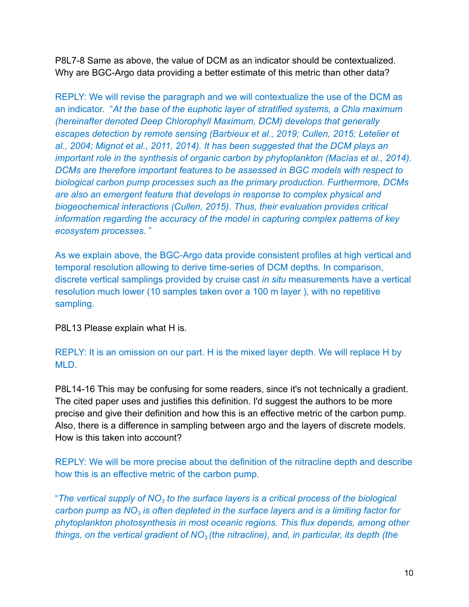P8L7-8 Same as above, the value of DCM as an indicator should be contextualized. Why are BGC-Argo data providing a better estimate of this metric than other data?

REPLY: We will revise the paragraph and we will contextualize the use of the DCM as an indicator. "*At the base of the euphotic layer of stratified systems, a Chla maximum (hereinafter denoted Deep Chlorophyll Maximum, DCM) develops that generally escapes detection by remote sensing (Barbieux et al., [2019; Cullen, 2015; Letelier et](https://www.zotero.org/google-docs/?kDpAUg) [al., 2004; Mignot et al., 2011, 2014\).](https://www.zotero.org/google-docs/?kDpAUg) It has been suggested that the DCM plays an important role in the synthesis of organic carbon by phytoplankton [\(Macías et al., 2014\)](https://www.zotero.org/google-docs/?sdA6Iv). DCMs are therefore important features to be assessed in BGC models with respect to biological carbon pump processes such as the primary production. Furthermore, DCMs are also an emergent feature that develops in response to complex physical and biogeochemical interactions [\(Cullen, 2015\).](https://www.zotero.org/google-docs/?h4IcE7) Thus, their evaluation provides critical information regarding the accuracy of the model in capturing complex patterns of key ecosystem processes.* "

As we explain above, the BGC-Argo data provide consistent profiles at high vertical and temporal resolution allowing to derive time-series of DCM depths. In comparison, discrete vertical samplings provided by cruise cast *in situ* measurements have a vertical resolution much lower (10 samples taken over a 100 m layer ), with no repetitive sampling.

P8L13 Please explain what H is.

REPLY: It is an omission on our part. H is the mixed layer depth. We will replace H by MLD.

P8L14-16 This may be confusing for some readers, since it's not technically a gradient. The cited paper uses and justifies this definition. I'd suggest the authors to be more precise and give their definition and how this is an effective metric of the carbon pump. Also, there is a difference in sampling between argo and the layers of discrete models. How is this taken into account?

REPLY: We will be more precise about the definition of the nitracline depth and describe how this is an effective metric of the carbon pump.

"*The vertical supply of NO<sup>3</sup> to the surface layers is a critical process of the biological carbon pump as NO<sup>3</sup> is often depleted in the surface layers and is a limiting factor for phytoplankton photosynthesis in most oceanic regions. This flux depends, among other things, on the vertical gradient of NO<sup>3</sup> (the nitracline), and, in particular, its depth (the*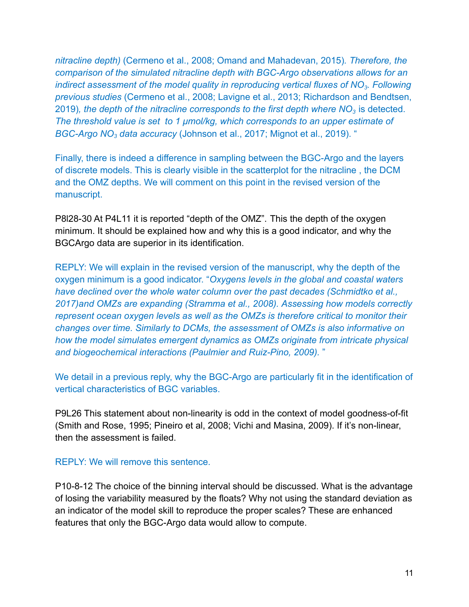*nitracline depth)* [\(Cermeno et al., 2008; Omand and Mahadevan, 2015\)](https://www.zotero.org/google-docs/?kZG67i)*. Therefore, the comparison of the simulated nitracline depth with BGC-Argo observations allows for an indirect assessment of the model quality in reproducing vertical fluxes of NO<sup>3</sup> . Following previous studies* (Cermeno et al., 2008; Lavigne et [al., 2013; Richardson and Bendtsen,](https://www.zotero.org/google-docs/?KXFitR) [2019\)](https://www.zotero.org/google-docs/?KXFitR)*, the depth of the nitracline corresponds to the first depth where NO<sup>3</sup>* is detected. *The threshold value is set to 1 μmol/kg, which corresponds to an upper estimate of BGC-Argo NO<sup>3</sup> data accuracy* [\(Johnson et al., 2017;](https://www.zotero.org/google-docs/?tS1DA7) Mignot et al., 2019). "

Finally, there is indeed a difference in sampling between the BGC-Argo and the layers of discrete models. This is clearly visible in the scatterplot for the nitracline , the DCM and the OMZ depths. We will comment on this point in the revised version of the manuscript.

P8l28-30 At P4L11 it is reported "depth of the OMZ". This the depth of the oxygen minimum. It should be explained how and why this is a good indicator, and why the BGCArgo data are superior in its identification.

REPLY: We will explain in the revised version of the manuscript, why the depth of the oxygen minimum is a good indicator. "*Oxygens levels in the global and coastal waters have declined over the whole water column over the past decades [\(Schmidtko et al.,](https://www.zotero.org/google-docs/?gKVl8D) [2017\)a](https://www.zotero.org/google-docs/?gKVl8D)nd OMZs are expanding [\(Stramma et al., 2008\).](https://www.zotero.org/google-docs/?HFWQiZ) Assessing how models correctly represent ocean oxygen levels as well as the OMZs is therefore critical to monitor their changes over time. Similarly to DCMs, the assessment of OMZs is also informative on how the model simulates emergent dynamics as OMZs originate from intricate physical and biogeochemical interactions [\(Paulmier and Ruiz-Pino,](https://www.zotero.org/google-docs/?bnDxvT) 2009).* "

We detail in a previous reply, why the BGC-Argo are particularly fit in the identification of vertical characteristics of BGC variables.

P9L26 This statement about non-linearity is odd in the context of model goodness-of-fit (Smith and Rose, 1995; Pineiro et al, 2008; Vichi and Masina, 2009). If it's non-linear, then the assessment is failed.

#### REPLY: We will remove this sentence.

P10-8-12 The choice of the binning interval should be discussed. What is the advantage of losing the variability measured by the floats? Why not using the standard deviation as an indicator of the model skill to reproduce the proper scales? These are enhanced features that only the BGC-Argo data would allow to compute.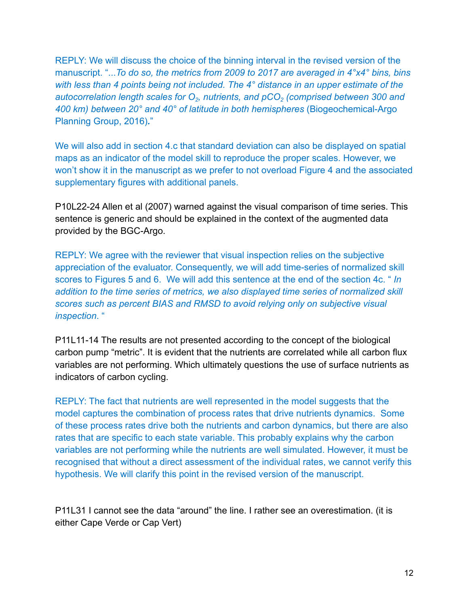REPLY: We will discuss the choice of the binning interval in the revised version of the manuscript. "...*To do so, the metrics from 2009 to 2017 are averaged in 4°x4° bins, bins with less than 4 points being not included. The 4° distance in an upper estimate of the autocorrelation length scales for O<sup>2</sup> , nutrients, and pCO<sup>2</sup> (comprised between 300 and 400 km) between 20° and 40° of latitude in both hemispheres* [\(Biogeochemical-Argo](https://www.zotero.org/google-docs/?OaxOOv) [Planning Group, 2016\)](https://www.zotero.org/google-docs/?OaxOOv)*.*"

We will also add in section 4.c that standard deviation can also be displayed on spatial maps as an indicator of the model skill to reproduce the proper scales. However, we won't show it in the manuscript as we prefer to not overload Figure 4 and the associated supplementary figures with additional panels.

P10L22-24 Allen et al (2007) warned against the visual comparison of time series. This sentence is generic and should be explained in the context of the augmented data provided by the BGC-Argo.

REPLY: We agree with the reviewer that visual inspection relies on the subjective appreciation of the evaluator. Consequently, we will add time-series of normalized skill scores to Figures 5 and 6. We will add this sentence at the end of the section 4c. " *In addition to the time series of metrics, we also displayed time series of normalized skill scores such as percent BIAS and RMSD to avoid relying only on subjective visual inspection*. "

P11L11-14 The results are not presented according to the concept of the biological carbon pump "metric". It is evident that the nutrients are correlated while all carbon flux variables are not performing. Which ultimately questions the use of surface nutrients as indicators of carbon cycling.

REPLY: The fact that nutrients are well represented in the model suggests that the model captures the combination of process rates that drive nutrients dynamics. Some of these process rates drive both the nutrients and carbon dynamics, but there are also rates that are specific to each state variable. This probably explains why the carbon variables are not performing while the nutrients are well simulated. However, it must be recognised that without a direct assessment of the individual rates, we cannot verify this hypothesis. We will clarify this point in the revised version of the manuscript.

P11L31 I cannot see the data "around" the line. I rather see an overestimation. (it is either Cape Verde or Cap Vert)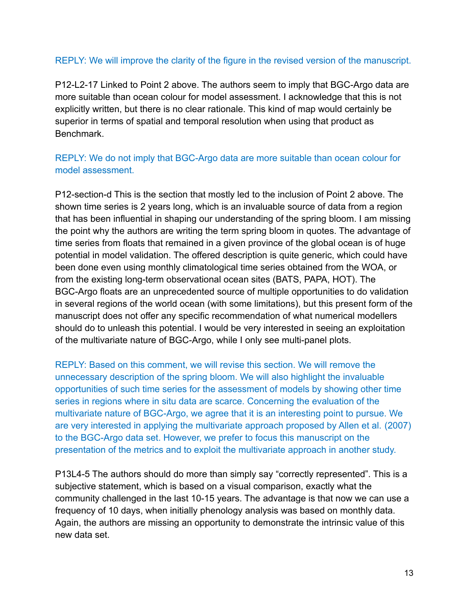# REPLY: We will improve the clarity of the figure in the revised version of the manuscript.

P12-L2-17 Linked to Point 2 above. The authors seem to imply that BGC-Argo data are more suitable than ocean colour for model assessment. I acknowledge that this is not explicitly written, but there is no clear rationale. This kind of map would certainly be superior in terms of spatial and temporal resolution when using that product as Benchmark.

# REPLY: We do not imply that BGC-Argo data are more suitable than ocean colour for model assessment.

P12-section-d This is the section that mostly led to the inclusion of Point 2 above. The shown time series is 2 years long, which is an invaluable source of data from a region that has been influential in shaping our understanding of the spring bloom. I am missing the point why the authors are writing the term spring bloom in quotes. The advantage of time series from floats that remained in a given province of the global ocean is of huge potential in model validation. The offered description is quite generic, which could have been done even using monthly climatological time series obtained from the WOA, or from the existing long-term observational ocean sites (BATS, PAPA, HOT). The BGC-Argo floats are an unprecedented source of multiple opportunities to do validation in several regions of the world ocean (with some limitations), but this present form of the manuscript does not offer any specific recommendation of what numerical modellers should do to unleash this potential. I would be very interested in seeing an exploitation of the multivariate nature of BGC-Argo, while I only see multi-panel plots.

REPLY: Based on this comment, we will revise this section. We will remove the unnecessary description of the spring bloom. We will also highlight the invaluable opportunities of such time series for the assessment of models by showing other time series in regions where in situ data are scarce. Concerning the evaluation of the multivariate nature of BGC-Argo, we agree that it is an interesting point to pursue. We are very interested in applying the multivariate approach proposed by Allen et al. [\(2007\)](https://www.zotero.org/google-docs/?xQXN3e) to the BGC-Argo data set. However, we prefer to focus this manuscript on the presentation of the metrics and to exploit the multivariate approach in another study.

P13L4-5 The authors should do more than simply say "correctly represented". This is a subjective statement, which is based on a visual comparison, exactly what the community challenged in the last 10-15 years. The advantage is that now we can use a frequency of 10 days, when initially phenology analysis was based on monthly data. Again, the authors are missing an opportunity to demonstrate the intrinsic value of this new data set.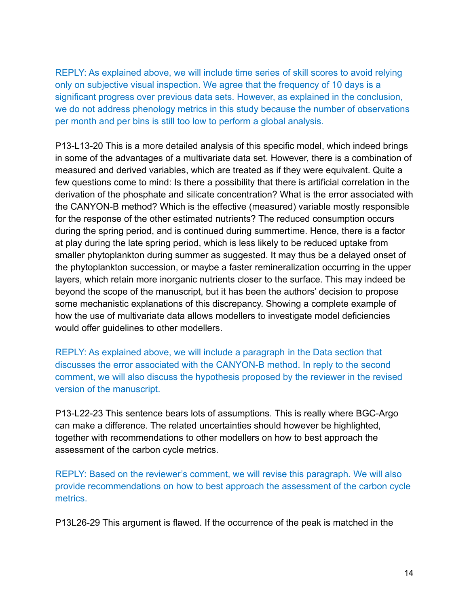REPLY: As explained above, we will include time series of skill scores to avoid relying only on subjective visual inspection. We agree that the frequency of 10 days is a significant progress over previous data sets. However, as explained in the conclusion, we do not address phenology metrics in this study because the number of observations per month and per bins is still too low to perform a global analysis.

P13-L13-20 This is a more detailed analysis of this specific model, which indeed brings in some of the advantages of a multivariate data set. However, there is a combination of measured and derived variables, which are treated as if they were equivalent. Quite a few questions come to mind: Is there a possibility that there is artificial correlation in the derivation of the phosphate and silicate concentration? What is the error associated with the CANYON-B method? Which is the effective (measured) variable mostly responsible for the response of the other estimated nutrients? The reduced consumption occurs during the spring period, and is continued during summertime. Hence, there is a factor at play during the late spring period, which is less likely to be reduced uptake from smaller phytoplankton during summer as suggested. It may thus be a delayed onset of the phytoplankton succession, or maybe a faster remineralization occurring in the upper layers, which retain more inorganic nutrients closer to the surface. This may indeed be beyond the scope of the manuscript, but it has been the authors' decision to propose some mechanistic explanations of this discrepancy. Showing a complete example of how the use of multivariate data allows modellers to investigate model deficiencies would offer guidelines to other modellers.

REPLY: As explained above, we will include a paragraph in the Data section that discusses the error associated with the CANYON-B method. In reply to the second comment, we will also discuss the hypothesis proposed by the reviewer in the revised version of the manuscript.

P13-L22-23 This sentence bears lots of assumptions. This is really where BGC-Argo can make a difference. The related uncertainties should however be highlighted, together with recommendations to other modellers on how to best approach the assessment of the carbon cycle metrics.

REPLY: Based on the reviewer's comment, we will revise this paragraph. We will also provide recommendations on how to best approach the assessment of the carbon cycle metrics.

P13L26-29 This argument is flawed. If the occurrence of the peak is matched in the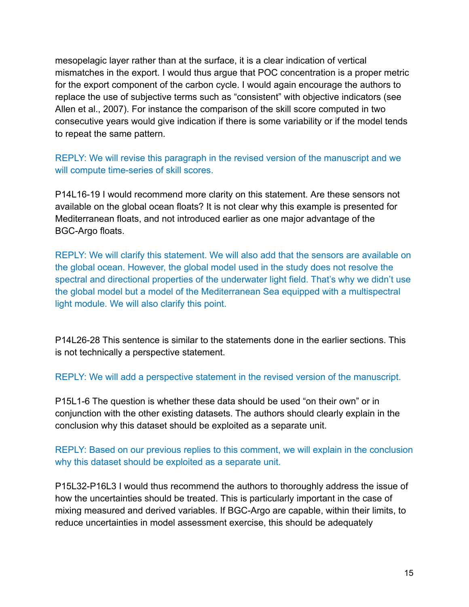mesopelagic layer rather than at the surface, it is a clear indication of vertical mismatches in the export. I would thus argue that POC concentration is a proper metric for the export component of the carbon cycle. I would again encourage the authors to replace the use of subjective terms such as "consistent" with objective indicators (see Allen et al., 2007). For instance the comparison of the skill score computed in two consecutive years would give indication if there is some variability or if the model tends to repeat the same pattern.

REPLY: We will revise this paragraph in the revised version of the manuscript and we will compute time-series of skill scores.

P14L16-19 I would recommend more clarity on this statement. Are these sensors not available on the global ocean floats? It is not clear why this example is presented for Mediterranean floats, and not introduced earlier as one major advantage of the BGC-Argo floats.

REPLY: We will clarify this statement. We will also add that the sensors are available on the global ocean. However, the global model used in the study does not resolve the spectral and directional properties of the underwater light field. That's why we didn't use the global model but a model of the Mediterranean Sea equipped with a multispectral light module. We will also clarify this point.

P14L26-28 This sentence is similar to the statements done in the earlier sections. This is not technically a perspective statement.

REPLY: We will add a perspective statement in the revised version of the manuscript.

P15L1-6 The question is whether these data should be used "on their own" or in conjunction with the other existing datasets. The authors should clearly explain in the conclusion why this dataset should be exploited as a separate unit.

REPLY: Based on our previous replies to this comment, we will explain in the conclusion why this dataset should be exploited as a separate unit.

P15L32-P16L3 I would thus recommend the authors to thoroughly address the issue of how the uncertainties should be treated. This is particularly important in the case of mixing measured and derived variables. If BGC-Argo are capable, within their limits, to reduce uncertainties in model assessment exercise, this should be adequately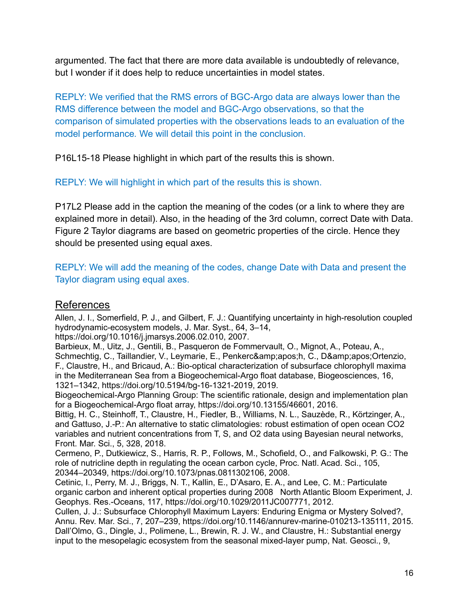argumented. The fact that there are more data available is undoubtedly of relevance, but I wonder if it does help to reduce uncertainties in model states.

REPLY: We verified that the RMS errors of BGC-Argo data are always lower than the RMS difference between the model and BGC-Argo observations, so that the comparison of simulated properties with the observations leads to an evaluation of the model performance*.* We will detail this point in the conclusion.

P16L15-18 Please highlight in which part of the results this is shown.

REPLY: We will highlight in which part of the results this is shown.

P17L2 Please add in the caption the meaning of the codes (or a link to where they are explained more in detail). Also, in the heading of the 3rd column, correct Date with Data. Figure 2 Taylor diagrams are based on geometric properties of the circle. Hence they should be presented using equal axes.

REPLY: We will add the meaning of the codes, change Date with Data and present the Taylor diagram using equal axes.

# **References**

Allen, J. I., Somerfield, P. J., and Gilbert, F. J.: Quantifying uncertainty in [high-resolution](https://www.zotero.org/google-docs/?dvCJLe) coupled [hydrodynamic-ecosystem](https://www.zotero.org/google-docs/?dvCJLe) models, J. Mar. Syst., 64, 3–14,

[https://doi.org/10.1016/j.jmarsys.2006.02.010,](https://www.zotero.org/google-docs/?dvCJLe) 2007.

Barbieux, M., Uitz, J., Gentili, B., Pasqueron de [Fommervault,](https://www.zotero.org/google-docs/?dvCJLe) O., Mignot, A., Poteau, A., Schmechtig, C., Taillandier, V., Leymarie, E., Penkerc'h, C., [D'Ortenzio,](https://www.zotero.org/google-docs/?dvCJLe) F., Claustre, H., and Bricaud, A.: Bio-optical [characterization](https://www.zotero.org/google-docs/?dvCJLe) of subsurface chlorophyll maxima in the Mediterranean Sea from a [Biogeochemical-Argo](https://www.zotero.org/google-docs/?dvCJLe) float database, Biogeosciences, 16, 1321–1342, [https://doi.org/10.5194/bg-16-1321-2019,](https://www.zotero.org/google-docs/?dvCJLe) 2019.

[Biogeochemical-Argo](https://www.zotero.org/google-docs/?dvCJLe) Planning Group: The scientific rationale, design and implementation plan for a Biogeochemical-Argo float array, [https://doi.org/10.13155/46601,](https://www.zotero.org/google-docs/?dvCJLe) 2016.

Bittig, H. C., Steinhoff, T., Claustre, H., Fiedler, B., Williams, N. L., Sauzède, R., [Körtzinger,](https://www.zotero.org/google-docs/?dvCJLe) A., and Gattuso, J.-P.: An alternative to static [climatologies:](https://www.zotero.org/google-docs/?dvCJLe) robust estimation of open ocean CO2 variables and nutrient [concentrations](https://www.zotero.org/google-docs/?dvCJLe) from T, S, and O2 data using Bayesian neural networks, [Front.](https://www.zotero.org/google-docs/?dvCJLe) Mar. Sci., 5, 328, 2018.

Cermeno, P., [Dutkiewicz,](https://www.zotero.org/google-docs/?dvCJLe) S., Harris, R. P., Follows, M., Schofield, O., and Falkowski, P. G.: The role of nutricline depth in [regulating](https://www.zotero.org/google-docs/?dvCJLe) the ocean carbon cycle, Proc. Natl. Acad. Sci., 105, 20344–20349, [https://doi.org/10.1073/pnas.0811302106,](https://www.zotero.org/google-docs/?dvCJLe) 2008.

Cetinic, I., Perry, M. J., Briggs, N. T., Kallin, E., D'Asaro, E. A., and Lee, C. M.: [Particulate](https://www.zotero.org/google-docs/?dvCJLe) organic carbon and inherent optical properties during 2008 North Atlantic Bloom [Experiment,](https://www.zotero.org/google-docs/?dvCJLe) J. Geophys. Res.-Oceans, 117, [https://doi.org/10.1029/2011JC007771,](https://www.zotero.org/google-docs/?dvCJLe) 2012.

Cullen, J. J.: [Subsurface](https://www.zotero.org/google-docs/?dvCJLe) Chlorophyll Maximum Layers: Enduring Enigma or Mystery Solved?, Annu. Rev. Mar. Sci., 7, 207–239, [https://doi.org/10.1146/annurev-marine-010213-135111,](https://www.zotero.org/google-docs/?dvCJLe) 2015. Dall'Olmo, G., Dingle, J., Polimene, L., Brewin, R. J. W., and Claustre, H.: [Substantial](https://www.zotero.org/google-docs/?dvCJLe) energy input to the [mesopelagic](https://www.zotero.org/google-docs/?dvCJLe) ecosystem from the seasonal mixed-layer pump, Nat. Geosci., 9,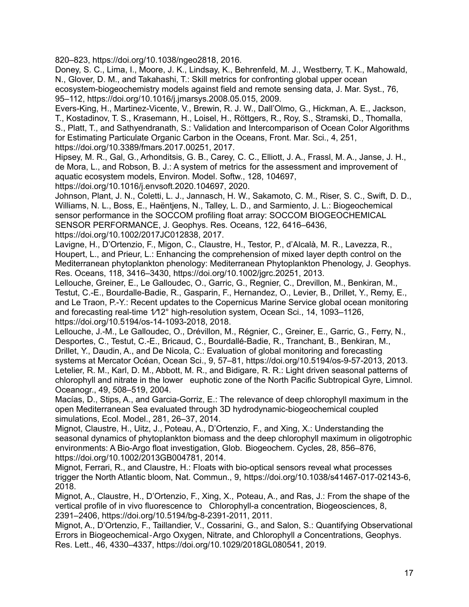820–823, [https://doi.org/10.1038/ngeo2818,](https://www.zotero.org/google-docs/?dvCJLe) 2016.

Doney, S. C., Lima, I., Moore, J. K., Lindsay, K., [Behrenfeld,](https://www.zotero.org/google-docs/?dvCJLe) M. J., Westberry, T. K., Mahowald, N., Glover, D. M., and Takahashi, T.: Skill metrics for [confronting](https://www.zotero.org/google-docs/?dvCJLe) global upper ocean [ecosystem-biogeochemistry](https://www.zotero.org/google-docs/?dvCJLe) models against field and remote sensing data, J. Mar. Syst., 76, 95–112, [https://doi.org/10.1016/j.jmarsys.2008.05.015,](https://www.zotero.org/google-docs/?dvCJLe) 2009.

Evers-King, H., [Martinez-Vicente,](https://www.zotero.org/google-docs/?dvCJLe) V., Brewin, R. J. W., Dall'Olmo, G., Hickman, A. E., Jackson, T., Kostadinov, T. S., [Krasemann,](https://www.zotero.org/google-docs/?dvCJLe) H., Loisel, H., Röttgers, R., Roy, S., Stramski, D., Thomalla, S., Platt, T., and [Sathyendranath,](https://www.zotero.org/google-docs/?dvCJLe) S.: Validation and Intercomparison of Ocean Color Algorithms for Estimating [Particulate](https://www.zotero.org/google-docs/?dvCJLe) Organic Carbon in the Oceans, Front. Mar. Sci., 4, 251, [https://doi.org/10.3389/fmars.2017.00251,](https://www.zotero.org/google-docs/?dvCJLe) 2017.

Hipsey, M. R., Gal, G., [Arhonditsis,](https://www.zotero.org/google-docs/?dvCJLe) G. B., Carey, C. C., Elliott, J. A., Frassl, M. A., Janse, J. H., de Mora, L., and Robson, B. J.: A system of metrics for the assessment and [improvement](https://www.zotero.org/google-docs/?dvCJLe) of aquatic [ecosystem](https://www.zotero.org/google-docs/?dvCJLe) models, Environ. Model. Softw., 128, 104697,

[https://doi.org/10.1016/j.envsoft.2020.104697,](https://www.zotero.org/google-docs/?dvCJLe) 2020.

Johnson, Plant, J. N., Coletti, L. J., Jannasch, H. W., [Sakamoto,](https://www.zotero.org/google-docs/?dvCJLe) C. M., Riser, S. C., Swift, D. D., Williams, N. L., Boss, E., Haëntjens, N., Talley, L. D., and Sarmiento, J. L.: [Biogeochemical](https://www.zotero.org/google-docs/?dvCJLe) sensor performance in the SOCCOM profiling float array: SOCCOM [BIOGEOCHEMICAL](https://www.zotero.org/google-docs/?dvCJLe) SENSOR [PERFORMANCE,](https://www.zotero.org/google-docs/?dvCJLe) J. Geophys. Res. Oceans, 122, 6416–6436,

[https://doi.org/10.1002/2017JC012838,](https://www.zotero.org/google-docs/?dvCJLe) 2017.

Lavigne, H., [D'Ortenzio,](https://www.zotero.org/google-docs/?dvCJLe) F., Migon, C., Claustre, H., Testor, P., d'Alcalà, M. R., Lavezza, R., Houpert, L., and Prieur, L.: Enhancing the [comprehension](https://www.zotero.org/google-docs/?dvCJLe) of mixed layer depth control on the Mediterranean phytoplankton phenology: [Mediterranean](https://www.zotero.org/google-docs/?dvCJLe) Phytoplankton Phenology, J. Geophys. Res. Oceans, 118, 3416–3430, [https://doi.org/10.1002/jgrc.20251,](https://www.zotero.org/google-docs/?dvCJLe) 2013.

Lellouche, Greiner, E., Le [Galloudec,](https://www.zotero.org/google-docs/?dvCJLe) O., Garric, G., Regnier, C., Drevillon, M., Benkiran, M., Testut, C.-E., [Bourdalle-Badie,](https://www.zotero.org/google-docs/?dvCJLe) R., Gasparin, F., Hernandez, O., Levier, B., Drillet, Y., Remy, E., and Le Traon, P.-Y.: Recent updates to the [Copernicus](https://www.zotero.org/google-docs/?dvCJLe) Marine Service global ocean monitoring and forecasting real-time 1∕12° [high-resolution](https://www.zotero.org/google-docs/?dvCJLe) system, Ocean Sci., 14, 1093–1126, [https://doi.org/10.5194/os-14-1093-2018,](https://www.zotero.org/google-docs/?dvCJLe) 2018.

Lellouche, J.-M., Le [Galloudec,](https://www.zotero.org/google-docs/?dvCJLe) O., Drévillon, M., Régnier, C., Greiner, E., Garric, G., Ferry, N., Desportes, C., Testut, C.-E., Bricaud, C., [Bourdallé-Badie,](https://www.zotero.org/google-docs/?dvCJLe) R., Tranchant, B., Benkiran, M., Drillet, Y., Daudin, A., and De Nicola, C.: Evaluation of global monitoring and [forecasting](https://www.zotero.org/google-docs/?dvCJLe) systems at Mercator Océan, Ocean Sci., 9, 57–81, [https://doi.org/10.5194/os-9-57-2013,](https://www.zotero.org/google-docs/?dvCJLe) 2013. Letelier, R. M., Karl, D. M., Abbott, M. R., and Bidigare, R. R.: Light driven [seasonal](https://www.zotero.org/google-docs/?dvCJLe) patterns of chlorophyll and nitrate in the lower euphotic zone of the North Pacific [Subtropical](https://www.zotero.org/google-docs/?dvCJLe) Gyre, Limnol. [Oceanogr.,](https://www.zotero.org/google-docs/?dvCJLe) 49, 508–519, 2004.

Macías, D., Stips, A., and [Garcia-Gorriz,](https://www.zotero.org/google-docs/?dvCJLe) E.: The relevance of deep chlorophyll maximum in the open Mediterranean Sea evaluated through 3D [hydrodynamic-biogeochemical](https://www.zotero.org/google-docs/?dvCJLe) coupled [simulations,](https://www.zotero.org/google-docs/?dvCJLe) Ecol. Model., 281, 26–37, 2014.

Mignot, Claustre, H., Uitz, J., Poteau, A., D'Ortenzio, F., and Xing, X.: [Understanding](https://www.zotero.org/google-docs/?dvCJLe) the seasonal dynamics of [phytoplankton](https://www.zotero.org/google-docs/?dvCJLe) biomass and the deep chlorophyll maximum in oligotrophic [environments:](https://www.zotero.org/google-docs/?dvCJLe) A Bio-Argo float investigation, Glob. Biogeochem. Cycles, 28, 856–876, [https://doi.org/10.1002/2013GB004781,](https://www.zotero.org/google-docs/?dvCJLe) 2014.

Mignot, Ferrari, R., and Claustre, H.: Floats with [bio-optical](https://www.zotero.org/google-docs/?dvCJLe) sensors reveal what processes trigger the North Atlantic bloom, Nat. Commun., 9, [https://doi.org/10.1038/s41467-017-02143-6,](https://www.zotero.org/google-docs/?dvCJLe) [2018.](https://www.zotero.org/google-docs/?dvCJLe)

Mignot, A., Claustre, H., [D'Ortenzio,](https://www.zotero.org/google-docs/?dvCJLe) F., Xing, X., Poteau, A., and Ras, J.: From the shape of the vertical profile of in vivo fluorescence to Chlorophyll-a concentration, [Biogeosciences,](https://www.zotero.org/google-docs/?dvCJLe) 8, 2391–2406, [https://doi.org/10.5194/bg-8-2391-2011,](https://www.zotero.org/google-docs/?dvCJLe) 2011.

Mignot, A., D'Ortenzio, F., Taillandier, V., Cossarini, G., and Salon, S.: Quantifying [Observational](https://www.zotero.org/google-docs/?dvCJLe) Errors in [Biogeochemical](https://www.zotero.org/google-docs/?dvCJLe)‐Argo Oxygen, Nitrate, and Chlorophyll *a* Concentrations, Geophys. Res. Lett., 46, 4330–4337, [https://doi.org/10.1029/2018GL080541,](https://www.zotero.org/google-docs/?dvCJLe) 2019.